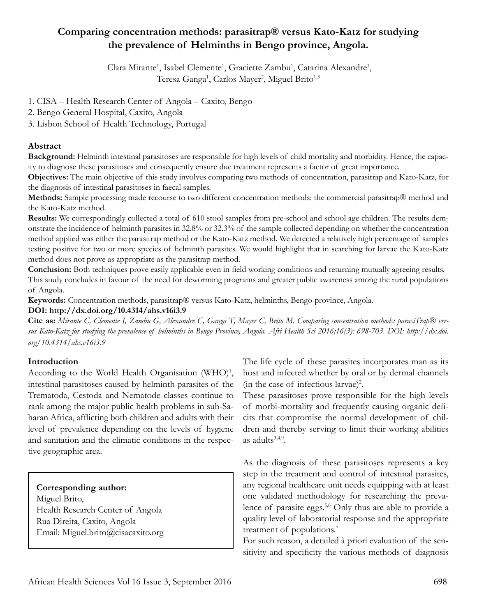## **Comparing concentration methods: parasitrap® versus Kato-Katz for studying the prevalence of Helminths in Bengo province, Angola.**

Clara Mirante<sup>1</sup>, Isabel Clemente<sup>1</sup>, Graciette Zambu<sup>1</sup>, Catarina Alexandre<sup>1</sup>, Teresa Ganga<sup>1</sup>, Carlos Mayer<sup>2</sup>, Miguel Brito<sup>1,3</sup>

1. CISA – Health Research Center of Angola – Caxito, Bengo

2. Bengo General Hospital, Caxito, Angola

3. Lisbon School of Health Technology, Portugal

#### **Abstract**

**Background:** Helminth intestinal parasitoses are responsible for high levels of child mortality and morbidity. Hence, the capacity to diagnose these parasitoses and consequently ensure due treatment represents a factor of great importance.

**Objectives:** The main objective of this study involves comparing two methods of concentration, parasitrap and Kato-Katz, for the diagnosis of intestinal parasitoses in faecal samples.

**Methods:** Sample processing made recourse to two different concentration methods: the commercial parasitrap® method and the Kato-Katz method.

**Results:** We correspondingly collected a total of 610 stool samples from pre-school and school age children. The results demonstrate the incidence of helminth parasites in 32.8% or 32.3% of the sample collected depending on whether the concentration method applied was either the parasitrap method or the Kato-Katz method. We detected a relatively high percentage of samples testing positive for two or more species of helminth parasites. We would highlight that in searching for larvae the Kato-Katz method does not prove as appropriate as the parasitrap method.

**Conclusion:** Both techniques prove easily applicable even in field working conditions and returning mutually agreeing results. This study concludes in favour of the need for deworming programs and greater public awareness among the rural populations of Angola.

**Keywords:** Concentration methods, parasitrap® versus Kato-Katz, helminths, Bengo province, Angola.

#### **DOI: http://dx.doi.org/10.4314/ahs.v16i3.9**

**Cite as:** *Mirante C, Clemente I, Zambu G, Alexandre C, Ganga T, Mayer C, Brito M. Comparing concentration methods: parasiTrap® versus Kato-Katz for studying the prevalence of helminths in Bengo Province, Angola. Afri Health Sci 2016;16(3): 698-703. DOI: http://dx.doi. org/10.4314/ahs.v16i3.9*

### **Introduction**

According to the World Health Organisation (WHO)<sup>1</sup>, intestinal parasitoses caused by helminth parasites of the Trematoda, Cestoda and Nematode classes continue to rank among the major public health problems in sub-Saharan Africa, afflicting both children and adults with their level of prevalence depending on the levels of hygiene and sanitation and the climatic conditions in the respective geographic area.

#### **Corresponding author:**

Miguel Brito, Health Research Center of Angola Rua Direita, Caxito, Angola Email: Miguel.brito@cisacaxito.org The life cycle of these parasites incorporates man as its host and infected whether by oral or by dermal channels (in the case of infectious larvae)<sup>2</sup>.

These parasitoses prove responsible for the high levels of morbi-mortality and frequently causing organic deficits that compromise the normal development of children and thereby serving to limit their working abilities as adults $3,4,9$ .

As the diagnosis of these parasitoses represents a key step in the treatment and control of intestinal parasites, any regional healthcare unit needs equipping with at least one validated methodology for researching the prevalence of parasite eggs.<sup>5,6</sup> Only thus are able to provide a quality level of laboratorial response and the appropriate treatment of populations.<sup>7</sup>

For such reason, a detailed à priori evaluation of the sensitivity and specificity the various methods of diagnosis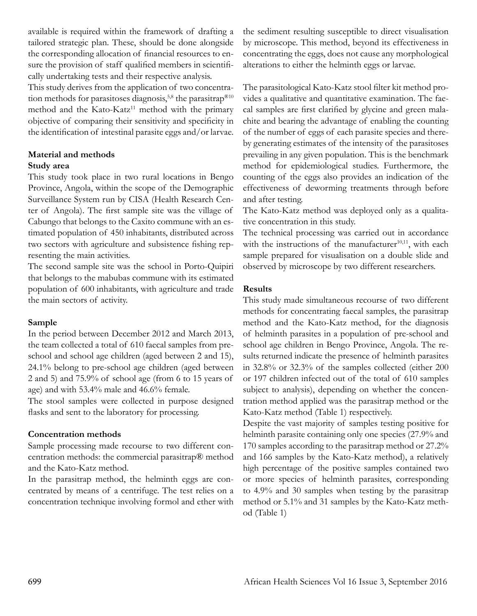available is required within the framework of drafting a tailored strategic plan. These, should be done alongside the corresponding allocation of financial resources to ensure the provision of staff qualified members in scientifically undertaking tests and their respective analysis.

This study derives from the application of two concentration methods for parasitoses diagnosis,<sup>5,8</sup> the parasitrap<sup>®10</sup> method and the Kato-Katz<sup>11</sup> method with the primary objective of comparing their sensitivity and specificity in the identification of intestinal parasite eggs and/or larvae.

# **Material and methods**

### **Study area**

This study took place in two rural locations in Bengo Province, Angola, within the scope of the Demographic Surveillance System run by CISA (Health Research Center of Angola). The first sample site was the village of Cabungo that belongs to the Caxito commune with an estimated population of 450 inhabitants, distributed across two sectors with agriculture and subsistence fishing representing the main activities.

The second sample site was the school in Porto-Quipiri that belongs to the mabubas commune with its estimated population of 600 inhabitants, with agriculture and trade the main sectors of activity.

### **Sample**

In the period between December 2012 and March 2013, the team collected a total of 610 faecal samples from preschool and school age children (aged between 2 and 15), 24.1% belong to pre-school age children (aged between 2 and 5) and 75.9% of school age (from 6 to 15 years of age) and with 53.4% male and 46.6% female.

The stool samples were collected in purpose designed flasks and sent to the laboratory for processing.

### **Concentration methods**

Sample processing made recourse to two different concentration methods: the commercial parasitrap® method and the Kato-Katz method.

In the parasitrap method, the helminth eggs are concentrated by means of a centrifuge. The test relies on a concentration technique involving formol and ether with the sediment resulting susceptible to direct visualisation by microscope. This method, beyond its effectiveness in concentrating the eggs, does not cause any morphological alterations to either the helminth eggs or larvae.

The parasitological Kato-Katz stool filter kit method provides a qualitative and quantitative examination. The faecal samples are first clarified by glycine and green malachite and bearing the advantage of enabling the counting of the number of eggs of each parasite species and thereby generating estimates of the intensity of the parasitoses prevailing in any given population. This is the benchmark method for epidemiological studies. Furthermore, the counting of the eggs also provides an indication of the effectiveness of deworming treatments through before and after testing.

The Kato-Katz method was deployed only as a qualitative concentration in this study.

The technical processing was carried out in accordance with the instructions of the manufacturer $10,11$ , with each sample prepared for visualisation on a double slide and observed by microscope by two different researchers.

## **Results**

This study made simultaneous recourse of two different methods for concentrating faecal samples, the parasitrap method and the Kato-Katz method, for the diagnosis of helminth parasites in a population of pre-school and school age children in Bengo Province, Angola. The results returned indicate the presence of helminth parasites in 32.8% or 32.3% of the samples collected (either 200 or 197 children infected out of the total of 610 samples subject to analysis), depending on whether the concentration method applied was the parasitrap method or the Kato-Katz method (Table 1) respectively.

Despite the vast majority of samples testing positive for helminth parasite containing only one species (27.9% and 170 samples according to the parasitrap method or 27.2% and 166 samples by the Kato-Katz method), a relatively high percentage of the positive samples contained two or more species of helminth parasites, corresponding to 4.9% and 30 samples when testing by the parasitrap method or 5.1% and 31 samples by the Kato-Katz method (Table 1)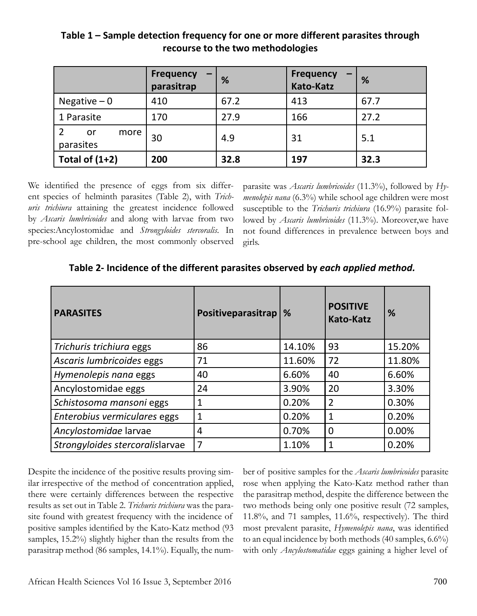|                         | <b>Frequency</b><br>parasitrap | %    | <b>Frequency</b><br><b>Kato-Katz</b> | %    |
|-------------------------|--------------------------------|------|--------------------------------------|------|
| Negative $-0$           | 410                            | 67.2 | 413                                  | 67.7 |
| 1 Parasite              | 170                            | 27.9 | 166                                  | 27.2 |
| more<br>or<br>parasites | 30                             | 4.9  | 31                                   | 5.1  |
| Total of $(1+2)$        | 200                            | 32.8 | 197                                  | 32.3 |

**Table 1 – Sample detection frequency for one or more different parasites through recourse to the two methodologies**

We identified the presence of eggs from six different species of helminth parasites (Table 2), with *Trichuris trichiura* attaining the greatest incidence followed by *Ascaris lumbricoides* and along with larvae from two species:Ancylostomidae and *Strongyloides stercoralis*. In pre-school age children, the most commonly observed

parasite was *Ascaris lumbricoides* (11.3%), followed by *Hymenolepis nana* (6.3%) while school age children were most susceptible to the *Trichuris trichiura* (16.9%) parasite followed by *Ascaris lumbricoides* (11.3%). Moreover,we have not found differences in prevalence between boys and girls.

| <b>PARASITES</b>                | Positiveparasitrap | %      | <b>POSITIVE</b><br><b>Kato-Katz</b> | %      |
|---------------------------------|--------------------|--------|-------------------------------------|--------|
| Trichuris trichiura eggs        | 86                 | 14.10% | 93                                  | 15.20% |
| Ascaris lumbricoides eggs       | 71                 | 11.60% | 72                                  | 11.80% |
| Hymenolepis nana eggs           | 40                 | 6.60%  | 40                                  | 6.60%  |
| Ancylostomidae eggs             | 24                 | 3.90%  | 20                                  | 3.30%  |
| Schistosoma mansoni eggs        |                    | 0.20%  | $\overline{2}$                      | 0.30%  |
| Enterobius vermiculares eggs    | 1                  | 0.20%  | 1                                   | 0.20%  |
| Ancylostomidae larvae           | 4                  | 0.70%  | $\overline{0}$                      | 0.00%  |
| Strongyloides stercoralislarvae | $\overline{7}$     | 1.10%  | $\mathbf{1}$                        | 0.20%  |

**Table 2- Incidence of the different parasites observed by** *each applied method.*

Despite the incidence of the positive results proving similar irrespective of the method of concentration applied, there were certainly differences between the respective results as set out in Table 2. *Trichuris trichiura* was the parasite found with greatest frequency with the incidence of positive samples identified by the Kato-Katz method (93 samples, 15.2%) slightly higher than the results from the parasitrap method (86 samples, 14.1%). Equally, the number of positive samples for the *Ascaris lumbricoides* parasite rose when applying the Kato-Katz method rather than the parasitrap method, despite the difference between the two methods being only one positive result (72 samples, 11.8%, and 71 samples, 11.6%, respectively). The third most prevalent parasite, *Hymenolepis nana*, was identified to an equal incidence by both methods (40 samples, 6.6%) with only *Ancylostomatidae* eggs gaining a higher level of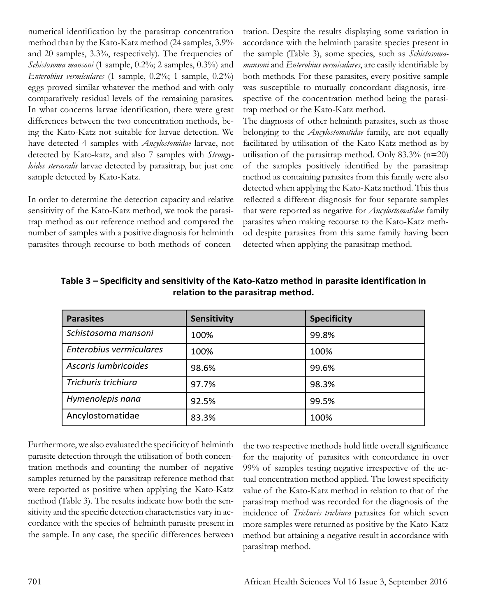numerical identification by the parasitrap concentration method than by the Kato-Katz method (24 samples, 3.9% and 20 samples, 3.3%, respectively). The frequencies of *Schistosoma mansoni* (1 sample, 0.2%; 2 samples, 0.3%) and *Enterobius vermiculares* (1 sample, 0.2%; 1 sample, 0.2%) eggs proved similar whatever the method and with only comparatively residual levels of the remaining parasites. In what concerns larvae identification, there were great differences between the two concentration methods, being the Kato-Katz not suitable for larvae detection. We have detected 4 samples with *Ancylostomidae* larvae, not detected by Kato-katz, and also 7 samples with *Strongyloides stercoralis* larvae detected by parasitrap, but just one sample detected by Kato-Katz.

In order to determine the detection capacity and relative sensitivity of the Kato-Katz method, we took the parasitrap method as our reference method and compared the number of samples with a positive diagnosis for helminth parasites through recourse to both methods of concen-

tration. Despite the results displaying some variation in accordance with the helminth parasite species present in the sample (Table 3), some species, such as *Schistosomamansoni* and *Enterobius vermiculares*, are easily identifiable by both methods. For these parasites, every positive sample was susceptible to mutually concordant diagnosis, irrespective of the concentration method being the parasitrap method or the Kato-Katz method.

The diagnosis of other helminth parasites, such as those belonging to the *Ancylostomatidae* family, are not equally facilitated by utilisation of the Kato-Katz method as by utilisation of the parasitrap method. Only  $83.3\%$  (n=20) of the samples positively identified by the parasitrap method as containing parasites from this family were also detected when applying the Kato-Katz method. This thus reflected a different diagnosis for four separate samples that were reported as negative for *Ancylostomatidae* family parasites when making recourse to the Kato-Katz method despite parasites from this same family having been detected when applying the parasitrap method.

| <b>Parasites</b>        | Sensitivity | <b>Specificity</b> |
|-------------------------|-------------|--------------------|
| Schistosoma mansoni     | 100%        | 99.8%              |
| Enterobius vermiculares | 100%        | 100%               |
| Ascaris lumbricoides    | 98.6%       | 99.6%              |
| Trichuris trichiura     | 97.7%       | 98.3%              |
| Hymenolepis nana        | 92.5%       | 99.5%              |
| Ancylostomatidae        | 83.3%       | 100%               |

**Table 3 – Specificity and sensitivity of the Kato-Katzo method in parasite identification in relation to the parasitrap method.**

Furthermore, we also evaluated the specificity of helminth parasite detection through the utilisation of both concentration methods and counting the number of negative samples returned by the parasitrap reference method that were reported as positive when applying the Kato-Katz method (Table 3). The results indicate how both the sensitivity and the specific detection characteristics vary in accordance with the species of helminth parasite present in the sample. In any case, the specific differences between

the two respective methods hold little overall significance for the majority of parasites with concordance in over 99% of samples testing negative irrespective of the actual concentration method applied. The lowest specificity value of the Kato-Katz method in relation to that of the parasitrap method was recorded for the diagnosis of the incidence of *Trichuris trichiura* parasites for which seven more samples were returned as positive by the Kato-Katz method but attaining a negative result in accordance with parasitrap method.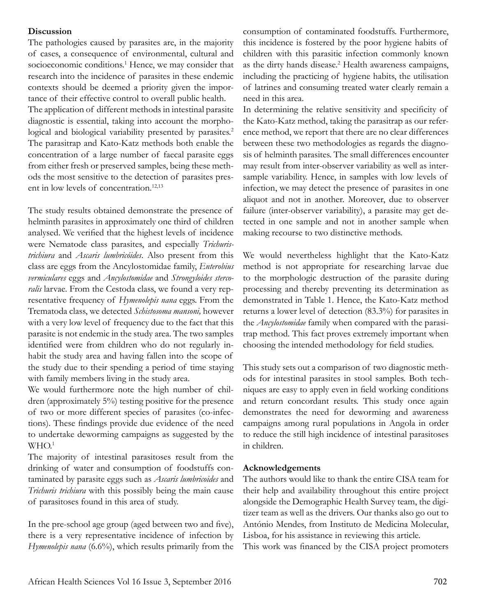#### **Discussion**

The pathologies caused by parasites are, in the majority of cases, a consequence of environmental, cultural and socioeconomic conditions.<sup>1</sup> Hence, we may consider that research into the incidence of parasites in these endemic contexts should be deemed a priority given the importance of their effective control to overall public health.

The application of different methods in intestinal parasite diagnostic is essential, taking into account the morphological and biological variability presented by parasites.<sup>2</sup> The parasitrap and Kato-Katz methods both enable the concentration of a large number of faecal parasite eggs from either fresh or preserved samples, being these methods the most sensitive to the detection of parasites present in low levels of concentration.<sup>12,13</sup>

The study results obtained demonstrate the presence of helminth parasites in approximately one third of children analysed. We verified that the highest levels of incidence were Nematode class parasites, and especially *Trichuristrichiura* and *Ascaris lumbricóides*. Also present from this class are eggs from the Ancylostomidae family, *Enterobius vermiculares* eggs and *Ancylostomidae* and *Strongyloides stercoralis* larvae. From the Cestoda class, we found a very representative frequency of *Hymenolepis nana* eggs. From the Trematoda class, we detected *Schistosoma mansoni,* however with a very low level of frequency due to the fact that this parasite is not endemic in the study area. The two samples identified were from children who do not regularly inhabit the study area and having fallen into the scope of the study due to their spending a period of time staying with family members living in the study area.

We would furthermore note the high number of children (approximately 5%) testing positive for the presence of two or more different species of parasites (co-infections). These findings provide due evidence of the need to undertake deworming campaigns as suggested by the  $WHO.<sup>1</sup>$ 

The majority of intestinal parasitoses result from the drinking of water and consumption of foodstuffs contaminated by parasite eggs such as *Ascaris lumbricoides* and *Trichuris trichiura* with this possibly being the main cause of parasitoses found in this area of study.

In the pre-school age group (aged between two and five), there is a very representative incidence of infection by *Hymenolepis nana* (6.6%), which results primarily from the

consumption of contaminated foodstuffs. Furthermore, this incidence is fostered by the poor hygiene habits of children with this parasitic infection commonly known as the dirty hands disease.<sup>2</sup> Health awareness campaigns, including the practicing of hygiene habits, the utilisation of latrines and consuming treated water clearly remain a need in this area.

In determining the relative sensitivity and specificity of the Kato-Katz method, taking the parasitrap as our reference method, we report that there are no clear differences between these two methodologies as regards the diagnosis of helminth parasites. The small differences encounter may result from inter-observer variability as well as intersample variability. Hence, in samples with low levels of infection, we may detect the presence of parasites in one aliquot and not in another. Moreover, due to observer failure (inter-observer variability), a parasite may get detected in one sample and not in another sample when making recourse to two distinctive methods.

We would nevertheless highlight that the Kato-Katz method is not appropriate for researching larvae due to the morphologic destruction of the parasite during processing and thereby preventing its determination as demonstrated in Table 1. Hence, the Kato-Katz method returns a lower level of detection (83.3%) for parasites in the *Ancylostomidae* family when compared with the parasitrap method. This fact proves extremely important when choosing the intended methodology for field studies.

This study sets out a comparison of two diagnostic methods for intestinal parasites in stool samples. Both techniques are easy to apply even in field working conditions and return concordant results. This study once again demonstrates the need for deworming and awareness campaigns among rural populations in Angola in order to reduce the still high incidence of intestinal parasitoses in children.

#### **Acknowledgements**

The authors would like to thank the entire CISA team for their help and availability throughout this entire project alongside the Demographic Health Survey team, the digitizer team as well as the drivers. Our thanks also go out to António Mendes, from Instituto de Medicina Molecular, Lisboa, for his assistance in reviewing this article.

This work was financed by the CISA project promoters